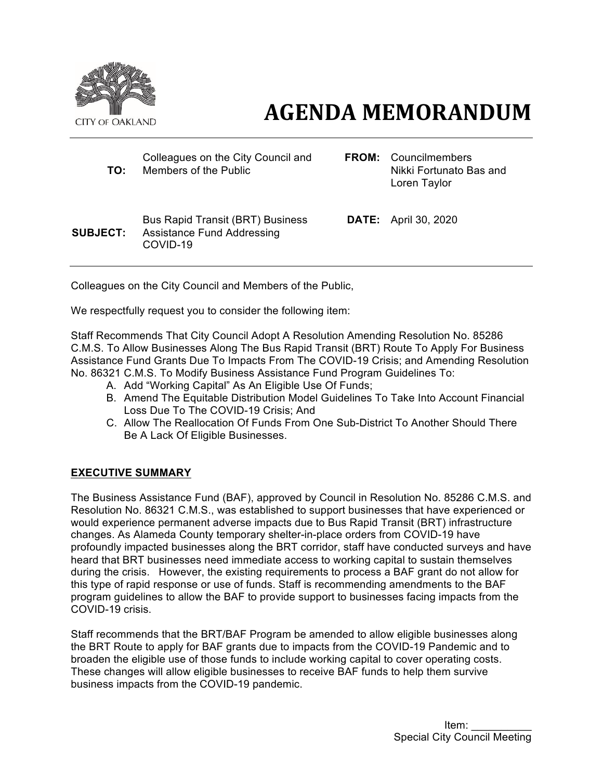

# **AGENDA MEMORANDUM**

| TO:             | Colleagues on the City Council and<br>Members of the Public                              | <b>FROM:</b> Councilmembers<br>Nikki Fortunato Bas and<br>Loren Taylor |
|-----------------|------------------------------------------------------------------------------------------|------------------------------------------------------------------------|
| <b>SUBJECT:</b> | <b>Bus Rapid Transit (BRT) Business</b><br><b>Assistance Fund Addressing</b><br>COVID-19 | <b>DATE:</b> April 30, 2020                                            |

Colleagues on the City Council and Members of the Public,

We respectfully request you to consider the following item:

Staff Recommends That City Council Adopt A Resolution Amending Resolution No. 85286 C.M.S. To Allow Businesses Along The Bus Rapid Transit (BRT) Route To Apply For Business Assistance Fund Grants Due To Impacts From The COVID-19 Crisis; and Amending Resolution No. 86321 C.M.S. To Modify Business Assistance Fund Program Guidelines To:

- A. Add "Working Capital" As An Eligible Use Of Funds;
- B. Amend The Equitable Distribution Model Guidelines To Take Into Account Financial Loss Due To The COVID-19 Crisis; And
- C. Allow The Reallocation Of Funds From One Sub-District To Another Should There Be A Lack Of Eligible Businesses.

#### **EXECUTIVE SUMMARY**

The Business Assistance Fund (BAF), approved by Council in Resolution No. 85286 C.M.S. and Resolution No. 86321 C.M.S., was established to support businesses that have experienced or would experience permanent adverse impacts due to Bus Rapid Transit (BRT) infrastructure changes. As Alameda County temporary shelter-in-place orders from COVID-19 have profoundly impacted businesses along the BRT corridor, staff have conducted surveys and have heard that BRT businesses need immediate access to working capital to sustain themselves during the crisis. However, the existing requirements to process a BAF grant do not allow for this type of rapid response or use of funds. Staff is recommending amendments to the BAF program guidelines to allow the BAF to provide support to businesses facing impacts from the COVID-19 crisis.

Staff recommends that the BRT/BAF Program be amended to allow eligible businesses along the BRT Route to apply for BAF grants due to impacts from the COVID-19 Pandemic and to broaden the eligible use of those funds to include working capital to cover operating costs. These changes will allow eligible businesses to receive BAF funds to help them survive business impacts from the COVID-19 pandemic.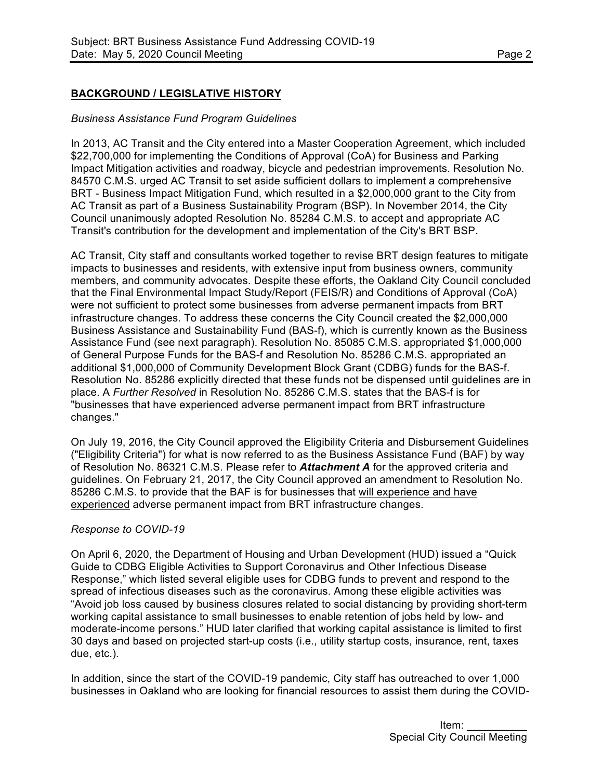## **BACKGROUND / LEGISLATIVE HISTORY**

#### *Business Assistance Fund Program Guidelines*

In 2013, AC Transit and the City entered into a Master Cooperation Agreement, which included \$22,700,000 for implementing the Conditions of Approval (CoA) for Business and Parking Impact Mitigation activities and roadway, bicycle and pedestrian improvements. Resolution No. 84570 C.M.S. urged AC Transit to set aside sufficient dollars to implement a comprehensive BRT - Business Impact Mitigation Fund, which resulted in a \$2,000,000 grant to the City from AC Transit as part of a Business Sustainability Program (BSP). In November 2014, the City Council unanimously adopted Resolution No. 85284 C.M.S. to accept and appropriate AC Transit's contribution for the development and implementation of the City's BRT BSP.

AC Transit, City staff and consultants worked together to revise BRT design features to mitigate impacts to businesses and residents, with extensive input from business owners, community members, and community advocates. Despite these efforts, the Oakland City Council concluded that the Final Environmental Impact Study/Report (FEIS/R) and Conditions of Approval (CoA) were not sufficient to protect some businesses from adverse permanent impacts from BRT infrastructure changes. To address these concerns the City Council created the \$2,000,000 Business Assistance and Sustainability Fund (BAS-f), which is currently known as the Business Assistance Fund (see next paragraph). Resolution No. 85085 C.M.S. appropriated \$1,000,000 of General Purpose Funds for the BAS-f and Resolution No. 85286 C.M.S. appropriated an additional \$1,000,000 of Community Development Block Grant (CDBG) funds for the BAS-f. Resolution No. 85286 explicitly directed that these funds not be dispensed until guidelines are in place. A *Further Resolved* in Resolution No. 85286 C.M.S. states that the BAS-f is for "businesses that have experienced adverse permanent impact from BRT infrastructure changes."

On July 19, 2016, the City Council approved the Eligibility Criteria and Disbursement Guidelines ("Eligibility Criteria") for what is now referred to as the Business Assistance Fund (BAF) by way of Resolution No. 86321 C.M.S. Please refer to *Attachment A* for the approved criteria and guidelines. On February 21, 2017, the City Council approved an amendment to Resolution No. 85286 C.M.S. to provide that the BAF is for businesses that will experience and have experienced adverse permanent impact from BRT infrastructure changes.

#### *Response to COVID-19*

On April 6, 2020, the Department of Housing and Urban Development (HUD) issued a "Quick Guide to CDBG Eligible Activities to Support Coronavirus and Other Infectious Disease Response," which listed several eligible uses for CDBG funds to prevent and respond to the spread of infectious diseases such as the coronavirus. Among these eligible activities was "Avoid job loss caused by business closures related to social distancing by providing short-term working capital assistance to small businesses to enable retention of jobs held by low- and moderate-income persons." HUD later clarified that working capital assistance is limited to first 30 days and based on projected start-up costs (i.e., utility startup costs, insurance, rent, taxes due, etc.).

In addition, since the start of the COVID-19 pandemic, City staff has outreached to over 1,000 businesses in Oakland who are looking for financial resources to assist them during the COVID-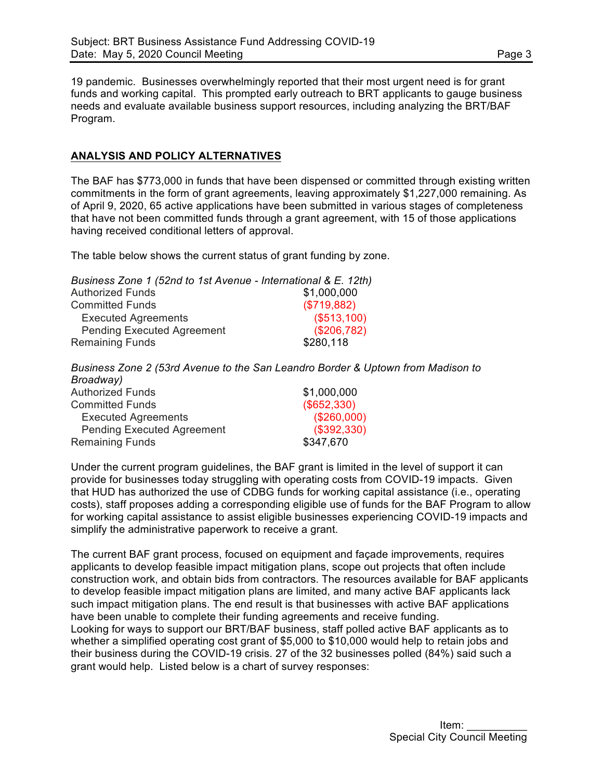19 pandemic. Businesses overwhelmingly reported that their most urgent need is for grant funds and working capital. This prompted early outreach to BRT applicants to gauge business needs and evaluate available business support resources, including analyzing the BRT/BAF Program.

## **ANALYSIS AND POLICY ALTERNATIVES**

The BAF has \$773,000 in funds that have been dispensed or committed through existing written commitments in the form of grant agreements, leaving approximately \$1,227,000 remaining. As of April 9, 2020, 65 active applications have been submitted in various stages of completeness that have not been committed funds through a grant agreement, with 15 of those applications having received conditional letters of approval.

The table below shows the current status of grant funding by zone.

| Business Zone 1 (52nd to 1st Avenue - International & E. 12th) |             |
|----------------------------------------------------------------|-------------|
| <b>Authorized Funds</b>                                        | \$1,000,000 |
| <b>Committed Funds</b>                                         | (\$719,882) |
| <b>Executed Agreements</b>                                     | (\$513,100) |
| <b>Pending Executed Agreement</b>                              | (\$206,782) |
| <b>Remaining Funds</b>                                         | \$280,118   |

*Business Zone 2 (53rd Avenue to the San Leandro Border & Uptown from Madison to Broadway)*

| DIUduway,                         |             |
|-----------------------------------|-------------|
| <b>Authorized Funds</b>           | \$1,000,000 |
| <b>Committed Funds</b>            | (\$652,330) |
| <b>Executed Agreements</b>        | (\$260,000) |
| <b>Pending Executed Agreement</b> | (\$392,330) |
| <b>Remaining Funds</b>            | \$347,670   |

Under the current program guidelines, the BAF grant is limited in the level of support it can provide for businesses today struggling with operating costs from COVID-19 impacts. Given that HUD has authorized the use of CDBG funds for working capital assistance (i.e., operating costs), staff proposes adding a corresponding eligible use of funds for the BAF Program to allow for working capital assistance to assist eligible businesses experiencing COVID-19 impacts and simplify the administrative paperwork to receive a grant.

The current BAF grant process, focused on equipment and façade improvements, requires applicants to develop feasible impact mitigation plans, scope out projects that often include construction work, and obtain bids from contractors. The resources available for BAF applicants to develop feasible impact mitigation plans are limited, and many active BAF applicants lack such impact mitigation plans. The end result is that businesses with active BAF applications have been unable to complete their funding agreements and receive funding. Looking for ways to support our BRT/BAF business, staff polled active BAF applicants as to whether a simplified operating cost grant of \$5,000 to \$10,000 would help to retain jobs and their business during the COVID-19 crisis. 27 of the 32 businesses polled (84%) said such a grant would help. Listed below is a chart of survey responses: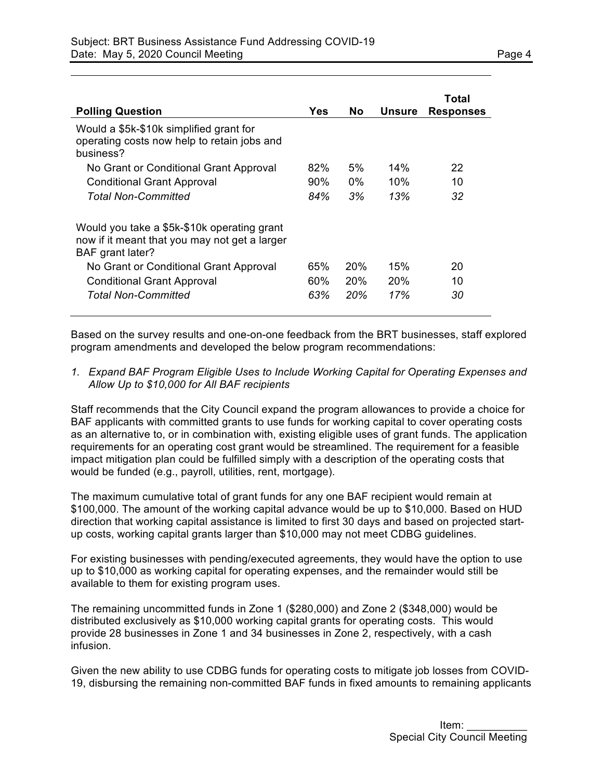| <b>Polling Question</b>                                                                                          | Yes    | No.   | <b>Unsure</b>   | Total<br><b>Responses</b> |
|------------------------------------------------------------------------------------------------------------------|--------|-------|-----------------|---------------------------|
| Would a \$5k-\$10k simplified grant for<br>operating costs now help to retain jobs and<br>business?              |        |       |                 |                           |
| No Grant or Conditional Grant Approval                                                                           | 82%    | 5%    | 14%             | 22                        |
| <b>Conditional Grant Approval</b>                                                                                | $90\%$ | $0\%$ | 10%             | 10                        |
| Total Non-Committed                                                                                              | 84%    | 3%    | 13%             | 32                        |
| Would you take a \$5k-\$10k operating grant<br>now if it meant that you may not get a larger<br>BAF grant later? |        |       |                 |                           |
| No Grant or Conditional Grant Approval                                                                           | 65%    | 20%   | 15%             | 20                        |
| <b>Conditional Grant Approval</b>                                                                                | 60%    | 20%   | 20 <sup>%</sup> | 10                        |
| <b>Total Non-Committed</b>                                                                                       | 63%    | 20%   | 17%             | 30                        |

Based on the survey results and one-on-one feedback from the BRT businesses, staff explored program amendments and developed the below program recommendations:

*1. Expand BAF Program Eligible Uses to Include Working Capital for Operating Expenses and Allow Up to \$10,000 for All BAF recipients*

Staff recommends that the City Council expand the program allowances to provide a choice for BAF applicants with committed grants to use funds for working capital to cover operating costs as an alternative to, or in combination with, existing eligible uses of grant funds. The application requirements for an operating cost grant would be streamlined. The requirement for a feasible impact mitigation plan could be fulfilled simply with a description of the operating costs that would be funded (e.g., payroll, utilities, rent, mortgage).

The maximum cumulative total of grant funds for any one BAF recipient would remain at \$100,000. The amount of the working capital advance would be up to \$10,000. Based on HUD direction that working capital assistance is limited to first 30 days and based on projected startup costs, working capital grants larger than \$10,000 may not meet CDBG guidelines.

For existing businesses with pending/executed agreements, they would have the option to use up to \$10,000 as working capital for operating expenses, and the remainder would still be available to them for existing program uses.

The remaining uncommitted funds in Zone 1 (\$280,000) and Zone 2 (\$348,000) would be distributed exclusively as \$10,000 working capital grants for operating costs. This would provide 28 businesses in Zone 1 and 34 businesses in Zone 2, respectively, with a cash infusion.

Given the new ability to use CDBG funds for operating costs to mitigate job losses from COVID-19, disbursing the remaining non-committed BAF funds in fixed amounts to remaining applicants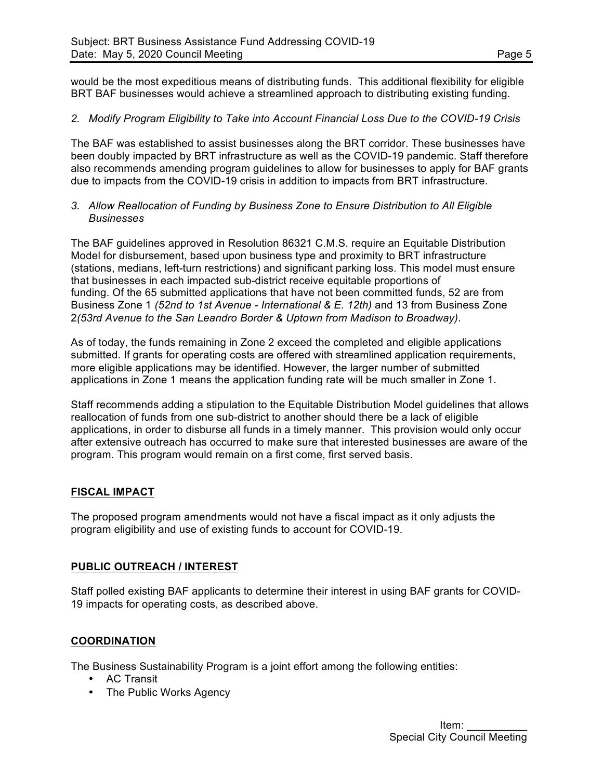would be the most expeditious means of distributing funds. This additional flexibility for eligible BRT BAF businesses would achieve a streamlined approach to distributing existing funding.

#### *2. Modify Program Eligibility to Take into Account Financial Loss Due to the COVID-19 Crisis*

The BAF was established to assist businesses along the BRT corridor. These businesses have been doubly impacted by BRT infrastructure as well as the COVID-19 pandemic. Staff therefore also recommends amending program guidelines to allow for businesses to apply for BAF grants due to impacts from the COVID-19 crisis in addition to impacts from BRT infrastructure.

#### *3. Allow Reallocation of Funding by Business Zone to Ensure Distribution to All Eligible Businesses*

The BAF guidelines approved in Resolution 86321 C.M.S. require an Equitable Distribution Model for disbursement, based upon business type and proximity to BRT infrastructure (stations, medians, left-turn restrictions) and significant parking loss. This model must ensure that businesses in each impacted sub-district receive equitable proportions of funding. Of the 65 submitted applications that have not been committed funds, 52 are from Business Zone 1 *(52nd to 1st Avenue - International & E. 12th)* and 13 from Business Zone 2*(53rd Avenue to the San Leandro Border & Uptown from Madison to Broadway)*.

As of today, the funds remaining in Zone 2 exceed the completed and eligible applications submitted. If grants for operating costs are offered with streamlined application requirements, more eligible applications may be identified. However, the larger number of submitted applications in Zone 1 means the application funding rate will be much smaller in Zone 1.

Staff recommends adding a stipulation to the Equitable Distribution Model guidelines that allows reallocation of funds from one sub-district to another should there be a lack of eligible applications, in order to disburse all funds in a timely manner. This provision would only occur after extensive outreach has occurred to make sure that interested businesses are aware of the program. This program would remain on a first come, first served basis.

#### **FISCAL IMPACT**

The proposed program amendments would not have a fiscal impact as it only adjusts the program eligibility and use of existing funds to account for COVID-19.

#### **PUBLIC OUTREACH / INTEREST**

Staff polled existing BAF applicants to determine their interest in using BAF grants for COVID-19 impacts for operating costs, as described above.

#### **COORDINATION**

The Business Sustainability Program is a joint effort among the following entities:

- AC Transit
- The Public Works Agency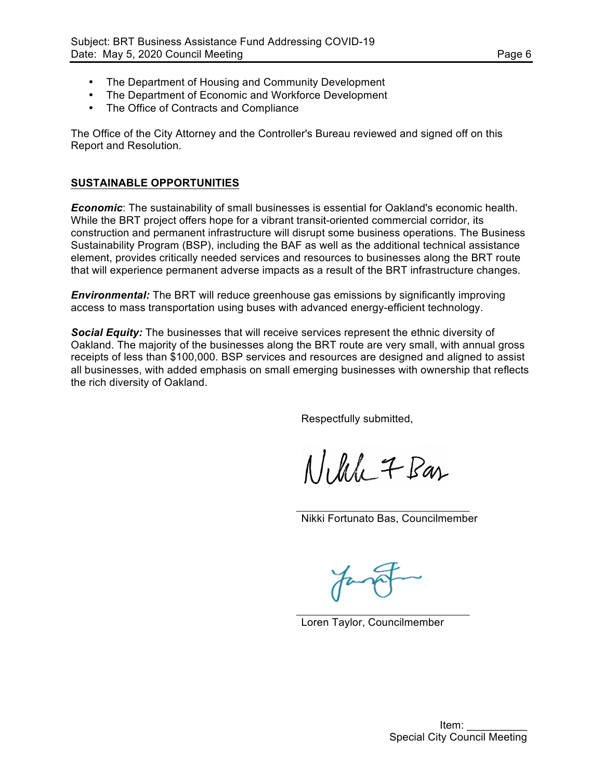- The Department of Housing and Community Development
- The Department of Economic and Workforce Development
- The Office of Contracts and Compliance

The Office of the City Attorney and the Controller's Bureau reviewed and signed off on this Report and Resolution.

#### **SUSTAINABLE OPPORTUNITIES**

*Economic*: The sustainability of small businesses is essential for Oakland's economic health. While the BRT project offers hope for a vibrant transit-oriented commercial corridor, its construction and permanent infrastructure will disrupt some business operations. The Business Sustainability Program (BSP), including the BAF as well as the additional technical assistance element, provides critically needed services and resources to businesses along the BRT route that will experience permanent adverse impacts as a result of the BRT infrastructure changes.

*Environmental:* The BRT will reduce greenhouse gas emissions by significantly improving access to mass transportation using buses with advanced energy-efficient technology.

*Social Equity:* The businesses that will receive services represent the ethnic diversity of Oakland. The majority of the businesses along the BRT route are very small, with annual gross receipts of less than \$100,000. BSP services and resources are designed and aligned to assist all businesses, with added emphasis on small emerging businesses with ownership that reflects the rich diversity of Oakland.

Respectfully submitted,

Nikle 7 Bas

Nikki Fortunato Bas, Councilmember

Loren Taylor, Councilmember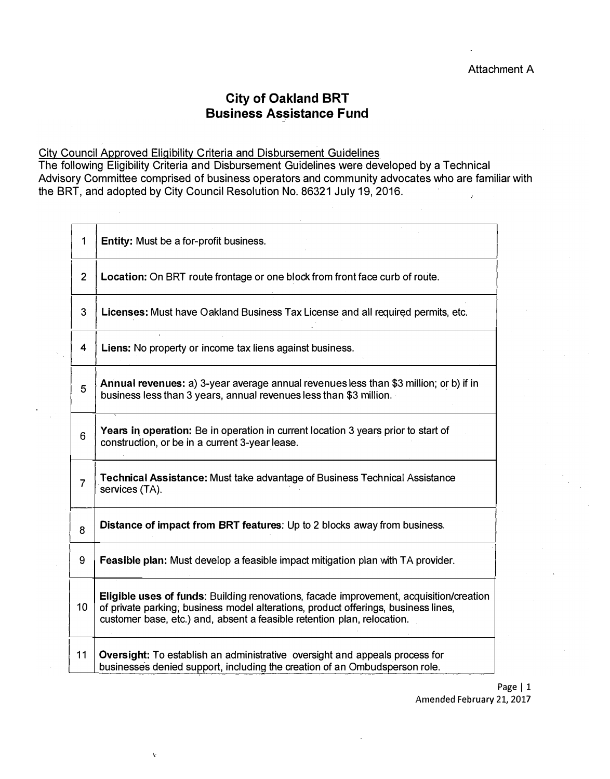# **City of Oakland BRT** Business Assistance Fund

City Council Approved Eligibility Criteria and Disbursement Guidelines

 $\mathbf{v}$ 

The following Eligibility Criteria and Disbursement Guidelines were developed by a Technical Advisory Committee comprised of business operators and community advocates who are familiar with the BRT, and adopted by City Council Resolution No. 86321 July 19, 2016.

| 1              | Entity: Must be a for-profit business.                                                                                                                                                                                                                  |
|----------------|---------------------------------------------------------------------------------------------------------------------------------------------------------------------------------------------------------------------------------------------------------|
| $\overline{2}$ | Location: On BRT route frontage or one block from front face curb of route.                                                                                                                                                                             |
| 3              | Licenses: Must have Oakland Business Tax License and all required permits, etc.                                                                                                                                                                         |
| 4              | Liens: No property or income tax liens against business.                                                                                                                                                                                                |
| 5              | Annual revenues: a) 3-year average annual revenues less than \$3 million; or b) if in<br>business less than 3 years, annual revenues less than \$3 million.                                                                                             |
| 6              | Years in operation: Be in operation in current location 3 years prior to start of<br>construction, or be in a current 3-year lease.                                                                                                                     |
| $\overline{7}$ | Technical Assistance: Must take advantage of Business Technical Assistance<br>services (TA).                                                                                                                                                            |
| 8              | Distance of impact from BRT features: Up to 2 blocks away from business.                                                                                                                                                                                |
| 9              | <b>Feasible plan:</b> Must develop a feasible impact mitigation plan with TA provider.                                                                                                                                                                  |
| 10             | Eligible uses of funds: Building renovations, facade improvement, acquisition/creation<br>of private parking, business model alterations, product offerings, business lines,<br>customer base, etc.) and, absent a feasible retention plan, relocation. |
| 11             | <b>Oversight:</b> To establish an administrative oversight and appeals process for<br>businesses denied support, including the creation of an Ombudsperson role.                                                                                        |